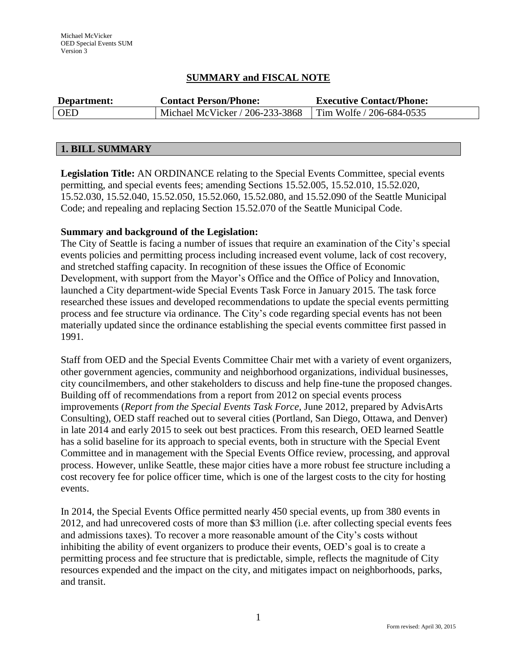## **SUMMARY and FISCAL NOTE**

| Department: | <b>Contact Person/Phone:</b>                             | <b>Executive Contact/Phone:</b> |  |
|-------------|----------------------------------------------------------|---------------------------------|--|
| <b>OED</b>  | Michael McVicker / 206-233-3868 Tim Wolfe / 206-684-0535 |                                 |  |

## **1. BILL SUMMARY**

**Legislation Title:** AN ORDINANCE relating to the Special Events Committee, special events permitting, and special events fees; amending Sections 15.52.005, 15.52.010, 15.52.020, 15.52.030, 15.52.040, 15.52.050, 15.52.060, 15.52.080, and 15.52.090 of the Seattle Municipal Code; and repealing and replacing Section 15.52.070 of the Seattle Municipal Code.

## **Summary and background of the Legislation:**

The City of Seattle is facing a number of issues that require an examination of the City's special events policies and permitting process including increased event volume, lack of cost recovery, and stretched staffing capacity. In recognition of these issues the Office of Economic Development, with support from the Mayor's Office and the Office of Policy and Innovation, launched a City department-wide Special Events Task Force in January 2015. The task force researched these issues and developed recommendations to update the special events permitting process and fee structure via ordinance. The City's code regarding special events has not been materially updated since the ordinance establishing the special events committee first passed in 1991.

Staff from OED and the Special Events Committee Chair met with a variety of event organizers, other government agencies, community and neighborhood organizations, individual businesses, city councilmembers, and other stakeholders to discuss and help fine-tune the proposed changes. Building off of recommendations from a report from 2012 on special events process improvements (*Report from the Special Events Task Force*, June 2012, prepared by AdvisArts Consulting), OED staff reached out to several cities (Portland, San Diego, Ottawa, and Denver) in late 2014 and early 2015 to seek out best practices. From this research, OED learned Seattle has a solid baseline for its approach to special events, both in structure with the Special Event Committee and in management with the Special Events Office review, processing, and approval process. However, unlike Seattle, these major cities have a more robust fee structure including a cost recovery fee for police officer time, which is one of the largest costs to the city for hosting events.

In 2014, the Special Events Office permitted nearly 450 special events, up from 380 events in 2012, and had unrecovered costs of more than \$3 million (i.e. after collecting special events fees and admissions taxes). To recover a more reasonable amount of the City's costs without inhibiting the ability of event organizers to produce their events, OED's goal is to create a permitting process and fee structure that is predictable, simple, reflects the magnitude of City resources expended and the impact on the city, and mitigates impact on neighborhoods, parks, and transit.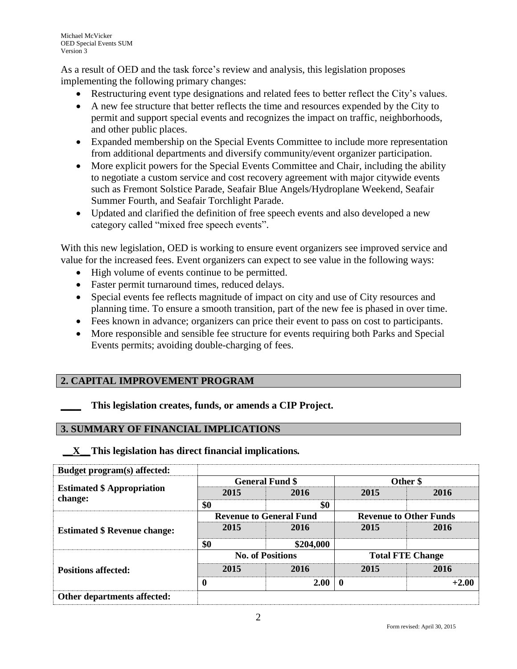As a result of OED and the task force's review and analysis, this legislation proposes implementing the following primary changes:

- Restructuring event type designations and related fees to better reflect the City's values.
- A new fee structure that better reflects the time and resources expended by the City to permit and support special events and recognizes the impact on traffic, neighborhoods, and other public places.
- Expanded membership on the Special Events Committee to include more representation from additional departments and diversify community/event organizer participation.
- More explicit powers for the Special Events Committee and Chair, including the ability to negotiate a custom service and cost recovery agreement with major citywide events such as Fremont Solstice Parade, Seafair Blue Angels/Hydroplane Weekend, Seafair Summer Fourth, and Seafair Torchlight Parade.
- Updated and clarified the definition of free speech events and also developed a new category called "mixed free speech events".

With this new legislation, OED is working to ensure event organizers see improved service and value for the increased fees. Event organizers can expect to see value in the following ways:

- High volume of events continue to be permitted.
- Faster permit turnaround times, reduced delays.
- Special events fee reflects magnitude of impact on city and use of City resources and planning time. To ensure a smooth transition, part of the new fee is phased in over time.
- Fees known in advance; organizers can price their event to pass on cost to participants.
- More responsible and sensible fee structure for events requiring both Parks and Special Events permits; avoiding double-charging of fees.

# **2. CAPITAL IMPROVEMENT PROGRAM**

**\_\_\_\_ This legislation creates, funds, or amends a CIP Project.** 

## **3. SUMMARY OF FINANCIAL IMPLICATIONS**

## **\_\_X\_\_This legislation has direct financial implications***.*

| Budget program(s) affected:         |                                |           |                               |         |
|-------------------------------------|--------------------------------|-----------|-------------------------------|---------|
|                                     | <b>General Fund \$</b>         |           | Other \$                      |         |
| <b>Estimated \$ Appropriation</b>   | 2015                           | 2016      | 2015                          | 2016    |
| change:                             | \$0                            | \$0       |                               |         |
| <b>Estimated \$ Revenue change:</b> | <b>Revenue to General Fund</b> |           | <b>Revenue to Other Funds</b> |         |
|                                     | 2015                           | 2016      | 2015                          | 2016    |
|                                     | \$0                            | \$204,000 |                               |         |
|                                     | <b>No. of Positions</b>        |           | <b>Total FTE Change</b>       |         |
| <b>Positions affected:</b>          | 2015                           | 2016      | 2015                          | 2016    |
|                                     | 0                              | 2.00      | $\mathbf{0}$                  | $+2.00$ |
| Other departments affected:         |                                |           |                               |         |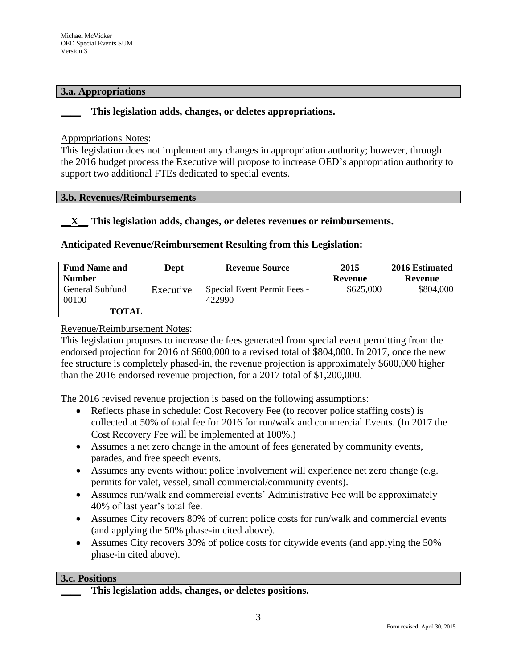#### **3.a. Appropriations**

## **\_\_\_\_ This legislation adds, changes, or deletes appropriations.**

#### Appropriations Notes:

This legislation does not implement any changes in appropriation authority; however, through the 2016 budget process the Executive will propose to increase OED's appropriation authority to support two additional FTEs dedicated to special events.

#### **3.b. Revenues/Reimbursements**

## **\_\_X\_\_ This legislation adds, changes, or deletes revenues or reimbursements.**

## **Anticipated Revenue/Reimbursement Resulting from this Legislation:**

| <b>Fund Name and</b>     | Dept      | 2015<br><b>Revenue Source</b>         |           | 2016 Estimated |
|--------------------------|-----------|---------------------------------------|-----------|----------------|
| <b>Number</b>            |           |                                       | Revenue   | Revenue        |
| General Subfund<br>00100 | Executive | Special Event Permit Fees -<br>422990 | \$625,000 | \$804,000      |
| <b>TOTAL</b>             |           |                                       |           |                |

## Revenue/Reimbursement Notes:

This legislation proposes to increase the fees generated from special event permitting from the endorsed projection for 2016 of \$600,000 to a revised total of \$804,000. In 2017, once the new fee structure is completely phased-in, the revenue projection is approximately \$600,000 higher than the 2016 endorsed revenue projection, for a 2017 total of \$1,200,000.

The 2016 revised revenue projection is based on the following assumptions:

- Reflects phase in schedule: Cost Recovery Fee (to recover police staffing costs) is collected at 50% of total fee for 2016 for run/walk and commercial Events. (In 2017 the Cost Recovery Fee will be implemented at 100%.)
- Assumes a net zero change in the amount of fees generated by community events, parades, and free speech events.
- Assumes any events without police involvement will experience net zero change (e.g. permits for valet, vessel, small commercial/community events).
- Assumes run/walk and commercial events' Administrative Fee will be approximately 40% of last year's total fee.
- Assumes City recovers 80% of current police costs for run/walk and commercial events (and applying the 50% phase-in cited above).
- Assumes City recovers 30% of police costs for citywide events (and applying the 50% phase-in cited above).

#### **3.c. Positions**

**\_\_\_\_ This legislation adds, changes, or deletes positions.**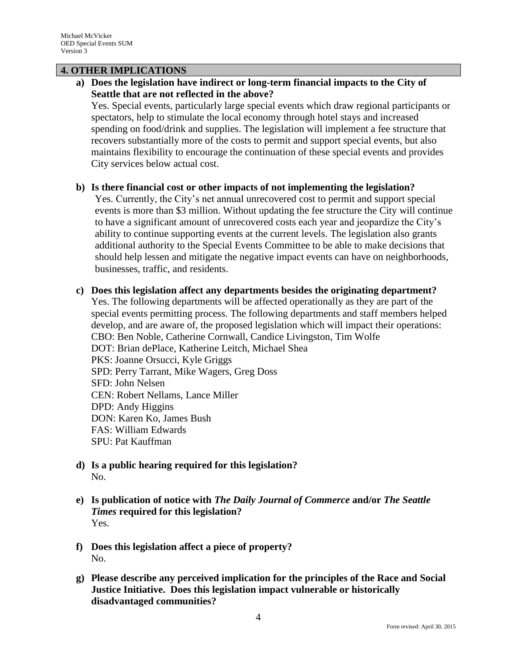## **4. OTHER IMPLICATIONS**

**a) Does the legislation have indirect or long-term financial impacts to the City of Seattle that are not reflected in the above?**

Yes. Special events, particularly large special events which draw regional participants or spectators, help to stimulate the local economy through hotel stays and increased spending on food/drink and supplies. The legislation will implement a fee structure that recovers substantially more of the costs to permit and support special events, but also maintains flexibility to encourage the continuation of these special events and provides City services below actual cost.

## **b) Is there financial cost or other impacts of not implementing the legislation?**

Yes. Currently, the City's net annual unrecovered cost to permit and support special events is more than \$3 million. Without updating the fee structure the City will continue to have a significant amount of unrecovered costs each year and jeopardize the City's ability to continue supporting events at the current levels. The legislation also grants additional authority to the Special Events Committee to be able to make decisions that should help lessen and mitigate the negative impact events can have on neighborhoods, businesses, traffic, and residents.

- **c) Does this legislation affect any departments besides the originating department?**  Yes. The following departments will be affected operationally as they are part of the special events permitting process. The following departments and staff members helped develop, and are aware of, the proposed legislation which will impact their operations: CBO: Ben Noble, Catherine Cornwall, Candice Livingston, Tim Wolfe DOT: Brian dePlace, Katherine Leitch, Michael Shea PKS: Joanne Orsucci, Kyle Griggs SPD: Perry Tarrant, Mike Wagers, Greg Doss SFD: John Nelsen CEN: Robert Nellams, Lance Miller DPD: Andy Higgins DON: Karen Ko, James Bush FAS: William Edwards SPU: Pat Kauffman
- **d) Is a public hearing required for this legislation?**  No.
- **e) Is publication of notice with** *The Daily Journal of Commerce* **and/or** *The Seattle Times* **required for this legislation?** Yes.
- **f) Does this legislation affect a piece of property?** No.
- **g) Please describe any perceived implication for the principles of the Race and Social Justice Initiative. Does this legislation impact vulnerable or historically disadvantaged communities?**